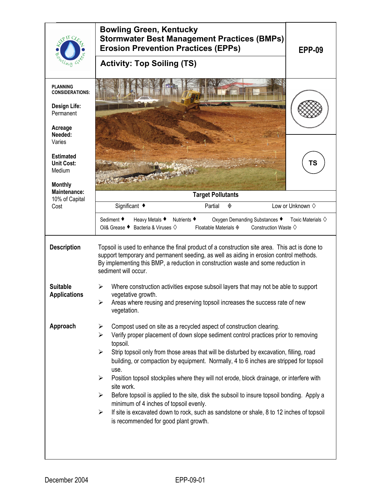|                                                                   | <b>Bowling Green, Kentucky</b><br><b>Stormwater Best Management Practices (BMPs)</b><br><b>Erosion Prevention Practices (EPPs)</b><br><b>EPP-09</b>                                                                                                                                                  |  |  |  |  |
|-------------------------------------------------------------------|------------------------------------------------------------------------------------------------------------------------------------------------------------------------------------------------------------------------------------------------------------------------------------------------------|--|--|--|--|
|                                                                   | <b>Activity: Top Soiling (TS)</b>                                                                                                                                                                                                                                                                    |  |  |  |  |
| <b>PLANNING</b><br><b>CONSIDERATIONS:</b>                         |                                                                                                                                                                                                                                                                                                      |  |  |  |  |
| <b>Design Life:</b><br>Permanent                                  |                                                                                                                                                                                                                                                                                                      |  |  |  |  |
| Acreage<br>Needed:<br>Varies                                      |                                                                                                                                                                                                                                                                                                      |  |  |  |  |
| <b>Estimated</b><br><b>Unit Cost:</b><br>Medium<br><b>Monthly</b> | TS                                                                                                                                                                                                                                                                                                   |  |  |  |  |
| Maintenance:<br>10% of Capital                                    | <b>Target Pollutants</b>                                                                                                                                                                                                                                                                             |  |  |  |  |
| Cost                                                              | Significant ◆<br>Low or Unknown $\diamond$<br>Partial<br>◈                                                                                                                                                                                                                                           |  |  |  |  |
|                                                                   | Sediment ♦<br>Heavy Metals ♦<br>Nutrients ♦<br>Oxygen Demanding Substances ♦<br>Toxic Materials $\diamondsuit$<br>Bacteria & Viruses ♦<br>Oil& Grease ♦<br>Floatable Materials $\diamond$<br>Construction Waste $\diamondsuit$                                                                       |  |  |  |  |
| <b>Description</b>                                                | Topsoil is used to enhance the final product of a construction site area. This act is done to<br>support temporary and permanent seeding, as well as aiding in erosion control methods.<br>By implementing this BMP, a reduction in construction waste and some reduction in<br>sediment will occur. |  |  |  |  |
| <b>Suitable</b><br><b>Applications</b>                            | Where construction activities expose subsoil layers that may not be able to support<br>⋗<br>vegetative growth.<br>Areas where reusing and preserving topsoil increases the success rate of new<br>➤<br>vegetation.                                                                                   |  |  |  |  |
| Approach                                                          | Compost used on site as a recycled aspect of construction clearing.<br>➤<br>$\blacktriangleright$<br>Verify proper placement of down slope sediment control practices prior to removing<br>topsoil.                                                                                                  |  |  |  |  |
|                                                                   | Strip topsoil only from those areas that will be disturbed by excavation, filling, road<br>➤<br>building, or compaction by equipment. Normally, 4 to 6 inches are stripped for topsoil<br>use.                                                                                                       |  |  |  |  |
|                                                                   | Position topsoil stockpiles where they will not erode, block drainage, or interfere with<br>≻<br>site work.                                                                                                                                                                                          |  |  |  |  |
|                                                                   | Before topsoil is applied to the site, disk the subsoil to insure topsoil bonding. Apply a<br>≻<br>minimum of 4 inches of topsoil evenly.                                                                                                                                                            |  |  |  |  |
|                                                                   | If site is excavated down to rock, such as sandstone or shale, 8 to 12 inches of topsoil<br>$\blacktriangleright$<br>is recommended for good plant growth.                                                                                                                                           |  |  |  |  |
|                                                                   |                                                                                                                                                                                                                                                                                                      |  |  |  |  |